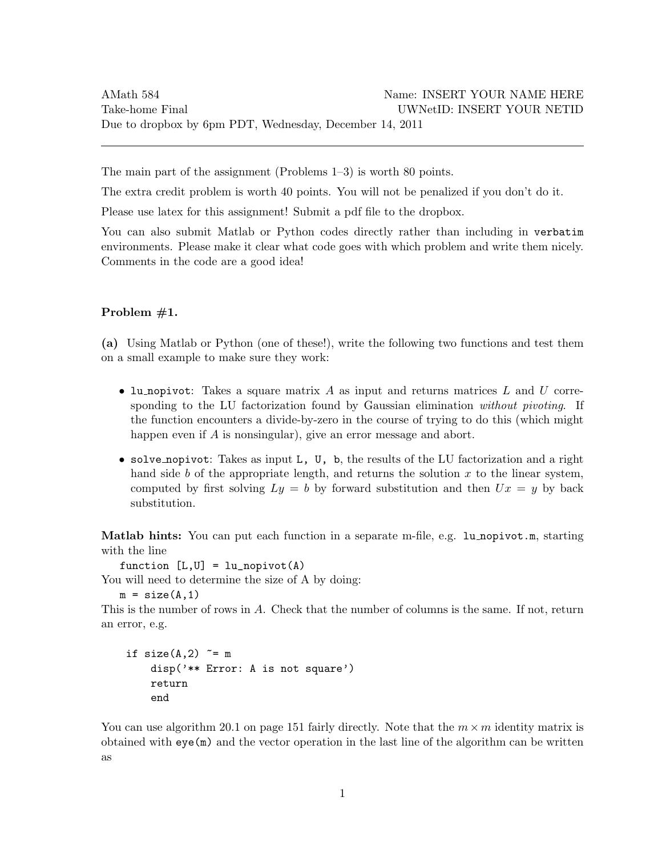The main part of the assignment (Problems 1–3) is worth 80 points.

The extra credit problem is worth 40 points. You will not be penalized if you don't do it.

Please use latex for this assignment! Submit a pdf file to the dropbox.

You can also submit Matlab or Python codes directly rather than including in verbatim environments. Please make it clear what code goes with which problem and write them nicely. Comments in the code are a good idea!

# Problem #1.

(a) Using Matlab or Python (one of these!), write the following two functions and test them on a small example to make sure they work:

- lu nopivot: Takes a square matrix A as input and returns matrices L and U corresponding to the LU factorization found by Gaussian elimination without pivoting. If the function encounters a divide-by-zero in the course of trying to do this (which might happen even if A is nonsingular), give an error message and abort.
- solve nopivot: Takes as input L, U, b, the results of the LU factorization and a right hand side b of the appropriate length, and returns the solution  $x$  to the linear system, computed by first solving  $Ly = b$  by forward substitution and then  $Ux = y$  by back substitution.

Matlab hints: You can put each function in a separate m-file, e.g. lu nopivot.m, starting with the line

function  $[L,U] = lu$  nopivot  $(A)$ 

You will need to determine the size of A by doing:

 $m = size(A, 1)$ 

This is the number of rows in A. Check that the number of columns is the same. If not, return an error, e.g.

```
if size(A,2) \approx m
disp('** Error: A is not square')
return
end
```
You can use algorithm 20.1 on page 151 fairly directly. Note that the  $m \times m$  identity matrix is obtained with eye(m) and the vector operation in the last line of the algorithm can be written as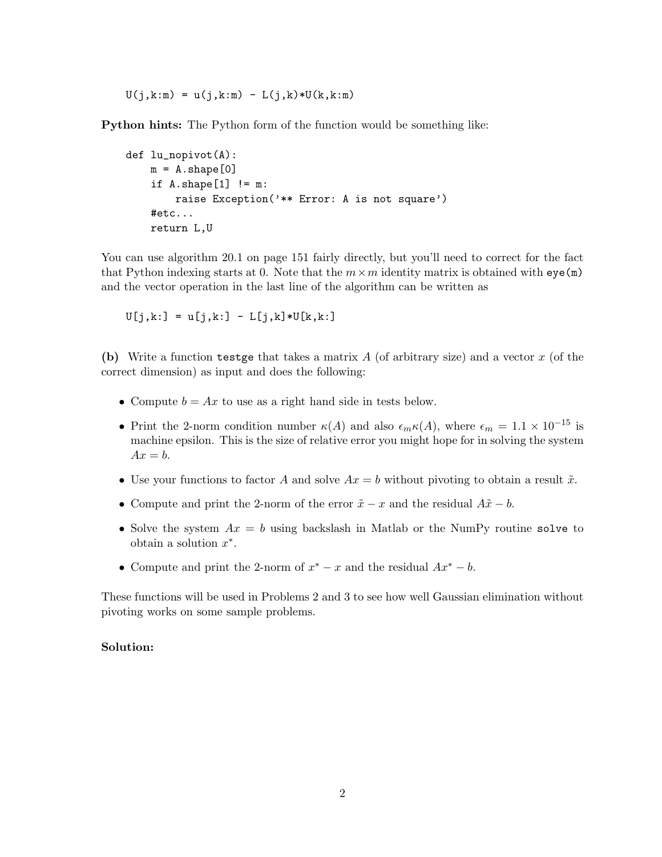$U(j, k:m) = u(j, k:m) - L(j, k) * U(k, k:m)$ 

Python hints: The Python form of the function would be something like:

```
def lu_nopivot(A):
m = A.\text{shape}[0]if A.\text{shape}[1] != m:
     raise Exception('** Error: A is not square')
#etc...
return L,U
```
You can use algorithm 20.1 on page 151 fairly directly, but you'll need to correct for the fact that Python indexing starts at 0. Note that the  $m \times m$  identity matrix is obtained with  $eye(m)$ and the vector operation in the last line of the algorithm can be written as

 $U[j,k:] = U[j,k:] - L[j,k]*U[k,k:]$ 

(b) Write a function testge that takes a matrix  $A$  (of arbitrary size) and a vector  $x$  (of the correct dimension) as input and does the following:

- Compute  $b = Ax$  to use as a right hand side in tests below.
- Print the 2-norm condition number  $\kappa(A)$  and also  $\epsilon_m \kappa(A)$ , where  $\epsilon_m = 1.1 \times 10^{-15}$  is machine epsilon. This is the size of relative error you might hope for in solving the system  $Ax = b$ .
- Use your functions to factor A and solve  $Ax = b$  without pivoting to obtain a result  $\tilde{x}$ .
- Compute and print the 2-norm of the error  $\tilde{x} x$  and the residual  $A\tilde{x} b$ .
- Solve the system  $Ax = b$  using backslash in Matlab or the NumPy routine solve to obtain a solution  $x^*$ .
- Compute and print the 2-norm of  $x^* x$  and the residual  $Ax^* b$ .

These functions will be used in Problems 2 and 3 to see how well Gaussian elimination without pivoting works on some sample problems.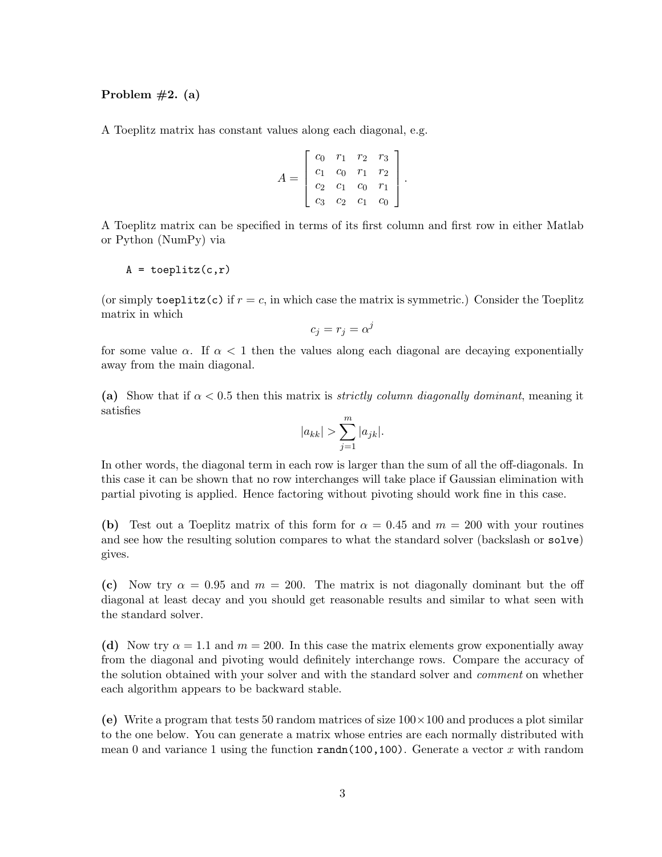Problem  $#2. (a)$ 

A Toeplitz matrix has constant values along each diagonal, e.g.

$$
A = \begin{bmatrix} c_0 & r_1 & r_2 & r_3 \\ c_1 & c_0 & r_1 & r_2 \\ c_2 & c_1 & c_0 & r_1 \\ c_3 & c_2 & c_1 & c_0 \end{bmatrix}.
$$

A Toeplitz matrix can be specified in terms of its first column and first row in either Matlab or Python (NumPy) via

$$
A = \text{toeplitz}(c,r)
$$

(or simply toeplitz(c) if  $r = c$ , in which case the matrix is symmetric.) Consider the Toeplitz matrix in which

$$
c_j=r_j=\alpha^j
$$

for some value  $\alpha$ . If  $\alpha < 1$  then the values along each diagonal are decaying exponentially away from the main diagonal.

(a) Show that if  $\alpha < 0.5$  then this matrix is *strictly column diagonally dominant*, meaning it satisfies

$$
|a_{kk}| > \sum_{j=1}^{m} |a_{jk}|.
$$

In other words, the diagonal term in each row is larger than the sum of all the off-diagonals. In this case it can be shown that no row interchanges will take place if Gaussian elimination with partial pivoting is applied. Hence factoring without pivoting should work fine in this case.

(b) Test out a Toeplitz matrix of this form for  $\alpha = 0.45$  and  $m = 200$  with your routines and see how the resulting solution compares to what the standard solver (backslash or solve) gives.

(c) Now try  $\alpha = 0.95$  and  $m = 200$ . The matrix is not diagonally dominant but the off diagonal at least decay and you should get reasonable results and similar to what seen with the standard solver.

(d) Now try  $\alpha = 1.1$  and  $m = 200$ . In this case the matrix elements grow exponentially away from the diagonal and pivoting would definitely interchange rows. Compare the accuracy of the solution obtained with your solver and with the standard solver and *comment* on whether each algorithm appears to be backward stable.

(e) Write a program that tests 50 random matrices of size  $100 \times 100$  and produces a plot similar to the one below. You can generate a matrix whose entries are each normally distributed with mean 0 and variance 1 using the function randn(100,100). Generate a vector x with random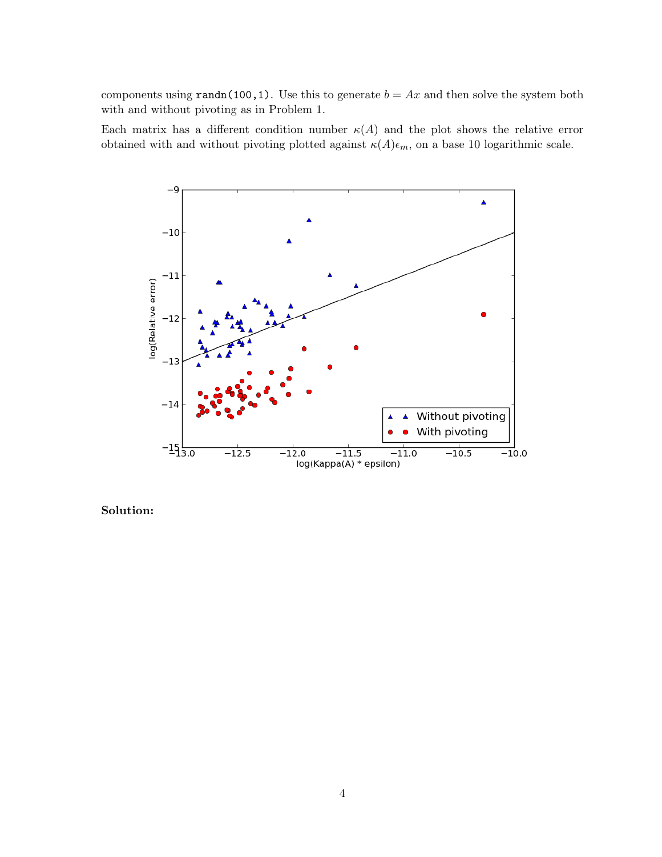components using randn(100,1). Use this to generate  $b = Ax$  and then solve the system both with and without pivoting as in Problem 1.

Each matrix has a different condition number  $\kappa(A)$  and the plot shows the relative error obtained with and without pivoting plotted against  $\kappa(A)\epsilon_m$ , on a base 10 logarithmic scale.

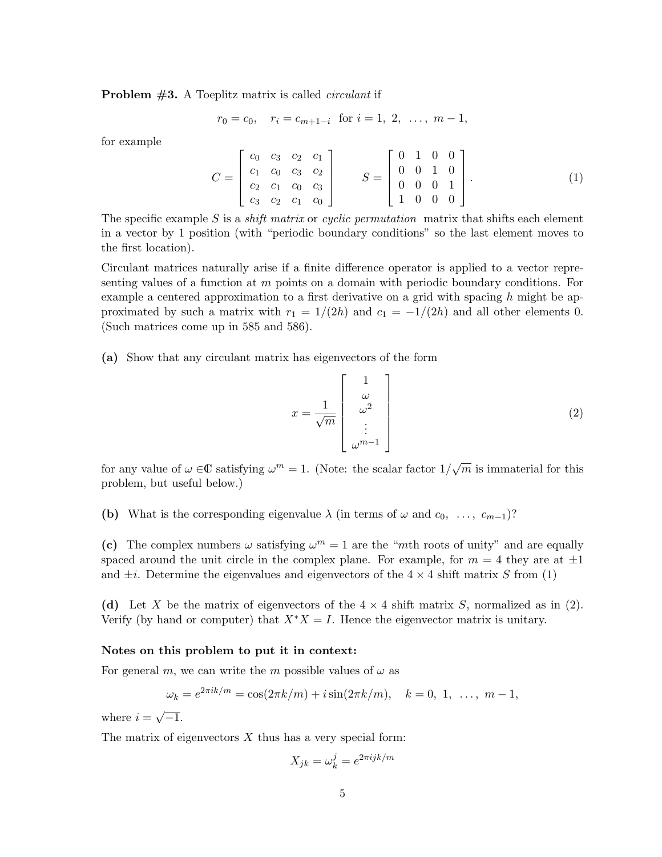**Problem**  $#3$ **.** A Toeplitz matrix is called *circulant* if

$$
r_0 = c_0
$$
,  $r_i = c_{m+1-i}$  for  $i = 1, 2, ..., m-1$ ,

for example

$$
C = \begin{bmatrix} c_0 & c_3 & c_2 & c_1 \\ c_1 & c_0 & c_3 & c_2 \\ c_2 & c_1 & c_0 & c_3 \\ c_3 & c_2 & c_1 & c_0 \end{bmatrix} \qquad S = \begin{bmatrix} 0 & 1 & 0 & 0 \\ 0 & 0 & 1 & 0 \\ 0 & 0 & 0 & 1 \\ 1 & 0 & 0 & 0 \end{bmatrix} . \tag{1}
$$

The specific example S is a *shift matrix* or *cyclic permutation* matrix that shifts each element in a vector by 1 position (with "periodic boundary conditions" so the last element moves to the first location).

Circulant matrices naturally arise if a finite difference operator is applied to a vector representing values of a function at m points on a domain with periodic boundary conditions. For example a centered approximation to a first derivative on a grid with spacing h might be approximated by such a matrix with  $r_1 = 1/(2h)$  and  $c_1 = -1/(2h)$  and all other elements 0. (Such matrices come up in 585 and 586).

(a) Show that any circulant matrix has eigenvectors of the form

$$
x = \frac{1}{\sqrt{m}} \begin{bmatrix} 1 \\ \omega \\ \omega^2 \\ \vdots \\ \omega^{m-1} \end{bmatrix}
$$
 (2)

for any value of  $\omega \in \mathbb{C}$  satisfying  $\omega^m = 1$ . (Note: the scalar factor  $1/\sqrt{m}$  is immaterial for this problem, but useful below.)

(b) What is the corresponding eigenvalue  $\lambda$  (in terms of  $\omega$  and  $c_0, \ldots, c_{m-1}$ )?

(c) The complex numbers  $\omega$  satisfying  $\omega^m = 1$  are the "mth roots of unity" and are equally spaced around the unit circle in the complex plane. For example, for  $m = 4$  they are at  $\pm 1$ and  $\pm i$ . Determine the eigenvalues and eigenvectors of the  $4 \times 4$  shift matrix S from (1)

(d) Let X be the matrix of eigenvectors of the  $4 \times 4$  shift matrix S, normalized as in (2). Verify (by hand or computer) that  $X^*X = I$ . Hence the eigenvector matrix is unitary.

#### Notes on this problem to put it in context:

For general m, we can write the m possible values of  $\omega$  as

$$
\omega_k = e^{2\pi i k/m} = \cos(2\pi k/m) + i \sin(2\pi k/m), \quad k = 0, 1, \dots, m-1,
$$

where  $i =$ √  $\overline{-1}$ .

The matrix of eigenvectors  $X$  thus has a very special form:

$$
X_{jk} = \omega_k^j = e^{2\pi i jk/m}
$$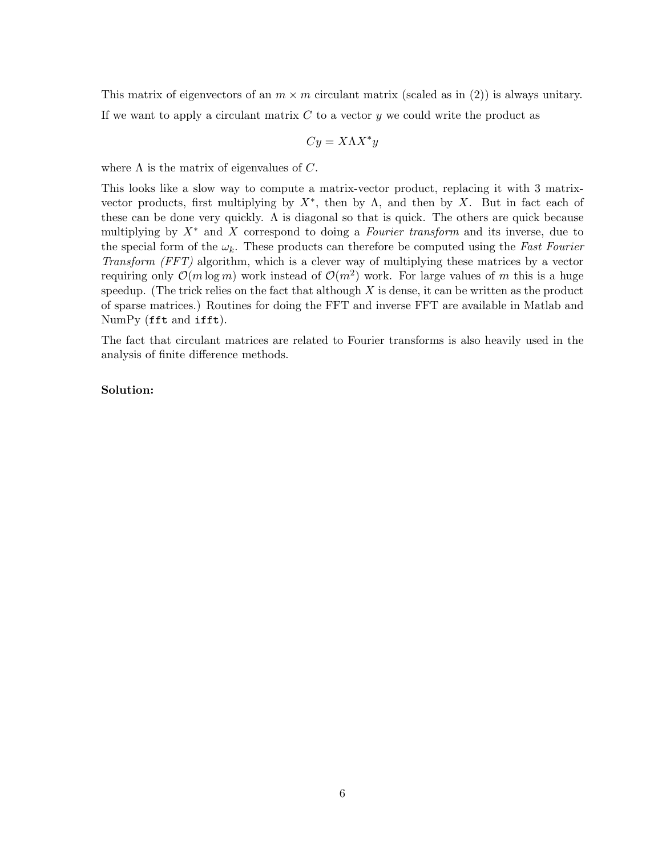This matrix of eigenvectors of an  $m \times m$  circulant matrix (scaled as in (2)) is always unitary. If we want to apply a circulant matrix  $C$  to a vector  $y$  we could write the product as

$$
Cy = X\Lambda X^*y
$$

where  $\Lambda$  is the matrix of eigenvalues of C.

This looks like a slow way to compute a matrix-vector product, replacing it with 3 matrixvector products, first multiplying by  $X^*$ , then by  $\Lambda$ , and then by X. But in fact each of these can be done very quickly.  $\Lambda$  is diagonal so that is quick. The others are quick because multiplying by  $X^*$  and X correspond to doing a *Fourier transform* and its inverse, due to the special form of the  $\omega_k$ . These products can therefore be computed using the Fast Fourier Transform (FFT) algorithm, which is a clever way of multiplying these matrices by a vector requiring only  $\mathcal{O}(m \log m)$  work instead of  $\mathcal{O}(m^2)$  work. For large values of m this is a huge speedup. (The trick relies on the fact that although  $X$  is dense, it can be written as the product of sparse matrices.) Routines for doing the FFT and inverse FFT are available in Matlab and NumPy (fft and ifft).

The fact that circulant matrices are related to Fourier transforms is also heavily used in the analysis of finite difference methods.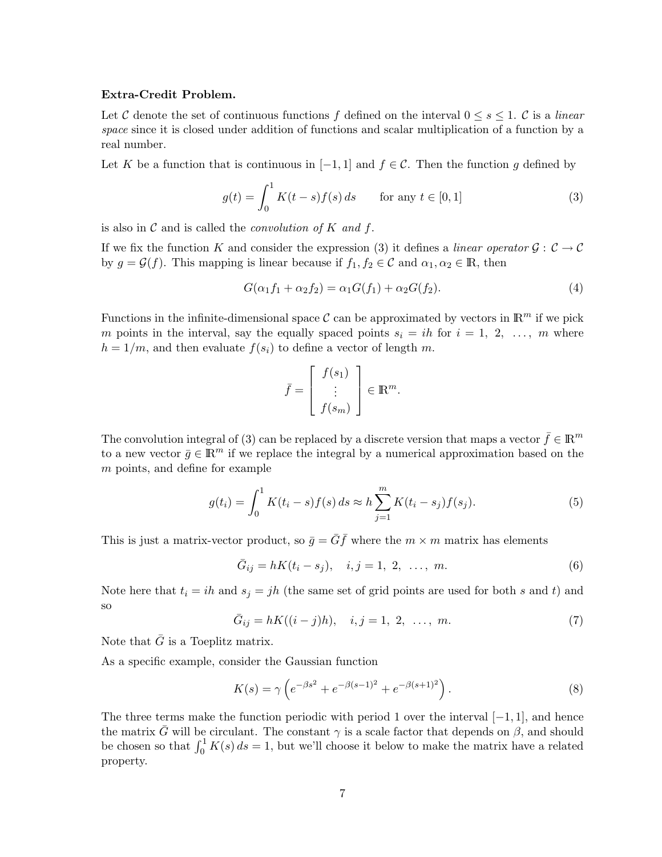## Extra-Credit Problem.

Let C denote the set of continuous functions f defined on the interval  $0 \leq s \leq 1$ . C is a linear space since it is closed under addition of functions and scalar multiplication of a function by a real number.

Let K be a function that is continuous in  $[-1, 1]$  and  $f \in \mathcal{C}$ . Then the function g defined by

$$
g(t) = \int_0^1 K(t - s) f(s) \, ds \qquad \text{for any } t \in [0, 1]
$$
 (3)

is also in  $\mathcal C$  and is called the *convolution of*  $K$  *and f.* 

If we fix the function K and consider the expression (3) it defines a linear operator  $\mathcal{G}: \mathcal{C} \to \mathcal{C}$ by  $g = \mathcal{G}(f)$ . This mapping is linear because if  $f_1, f_2 \in \mathcal{C}$  and  $\alpha_1, \alpha_2 \in \mathbb{R}$ , then

$$
G(\alpha_1 f_1 + \alpha_2 f_2) = \alpha_1 G(f_1) + \alpha_2 G(f_2). \tag{4}
$$

Functions in the infinite-dimensional space  $\mathcal C$  can be approximated by vectors in  $\mathbb R^m$  if we pick m points in the interval, say the equally spaced points  $s_i = ih$  for  $i = 1, 2, ..., m$  where  $h = 1/m$ , and then evaluate  $f(s_i)$  to define a vector of length m.

$$
\bar{f} = \begin{bmatrix} f(s_1) \\ \vdots \\ f(s_m) \end{bmatrix} \in \mathbb{R}^m.
$$

The convolution integral of (3) can be replaced by a discrete version that maps a vector  $\bar{f} \in \mathbb{R}^m$ to a new vector  $\bar{q} \in \mathbb{R}^m$  if we replace the integral by a numerical approximation based on the m points, and define for example

$$
g(t_i) = \int_0^1 K(t_i - s) f(s) ds \approx h \sum_{j=1}^m K(t_i - s_j) f(s_j).
$$
 (5)

This is just a matrix-vector product, so  $\bar{g} = \bar{G}\bar{f}$  where the  $m \times m$  matrix has elements

$$
\bar{G}_{ij} = hK(t_i - s_j), \quad i, j = 1, 2, \ \ldots, \ m.
$$
 (6)

Note here that  $t_i = ih$  and  $s_j = jh$  (the same set of grid points are used for both s and t) and so

$$
\bar{G}_{ij} = hK((i-j)h), \quad i, j = 1, 2, \ \ldots, \ m.
$$
 (7)

Note that  $\bar{G}$  is a Toeplitz matrix.

As a specific example, consider the Gaussian function

$$
K(s) = \gamma \left( e^{-\beta s^2} + e^{-\beta (s-1)^2} + e^{-\beta (s+1)^2} \right). \tag{8}
$$

The three terms make the function periodic with period 1 over the interval  $[-1, 1]$ , and hence the matrix  $\bar{G}$  will be circulant. The constant  $\gamma$  is a scale factor that depends on  $\beta$ , and should be chosen so that  $\int_0^1 K(s) ds = 1$ , but we'll choose it below to make the matrix have a related property.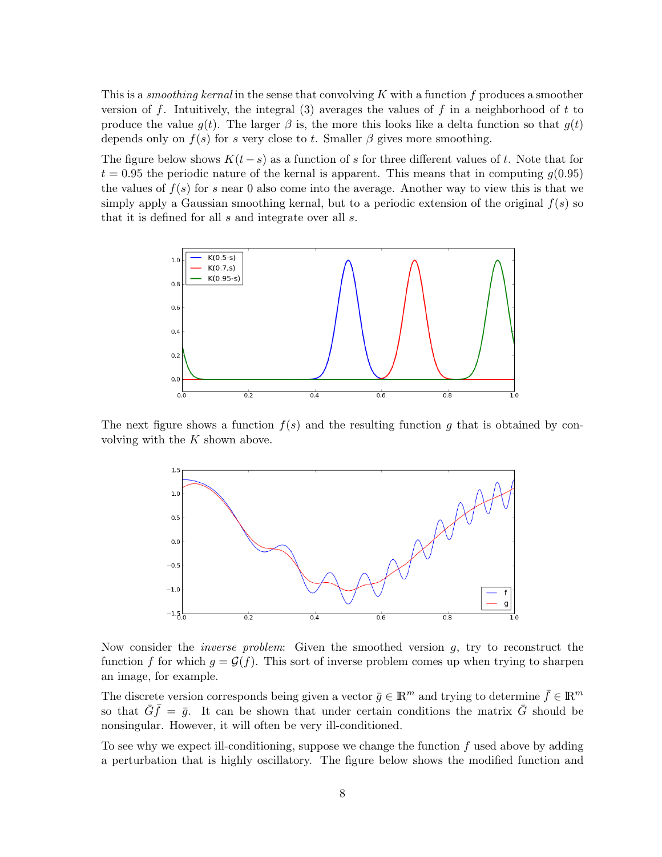This is a *smoothing kernal* in the sense that convolving  $K$  with a function  $f$  produces a smoother version of f. Intuitively, the integral  $(3)$  averages the values of f in a neighborhood of t to produce the value  $g(t)$ . The larger  $\beta$  is, the more this looks like a delta function so that  $g(t)$ depends only on  $f(s)$  for s very close to t. Smaller  $\beta$  gives more smoothing.

The figure below shows  $K(t-s)$  as a function of s for three different values of t. Note that for  $t = 0.95$  the periodic nature of the kernal is apparent. This means that in computing  $q(0.95)$ the values of  $f(s)$  for s near 0 also come into the average. Another way to view this is that we simply apply a Gaussian smoothing kernal, but to a periodic extension of the original  $f(s)$  so that it is defined for all s and integrate over all s.



The next figure shows a function  $f(s)$  and the resulting function g that is obtained by convolving with the  $K$  shown above.



Now consider the *inverse problem*: Given the smoothed version  $g$ , try to reconstruct the function f for which  $g = \mathcal{G}(f)$ . This sort of inverse problem comes up when trying to sharpen an image, for example.

The discrete version corresponds being given a vector  $\bar{g} \in \mathbb{R}^m$  and trying to determine  $\bar{f} \in \mathbb{R}^m$ so that  $\bar{G}\bar{f} = \bar{g}$ . It can be shown that under certain conditions the matrix  $\bar{G}$  should be nonsingular. However, it will often be very ill-conditioned.

To see why we expect ill-conditioning, suppose we change the function  $f$  used above by adding a perturbation that is highly oscillatory. The figure below shows the modified function and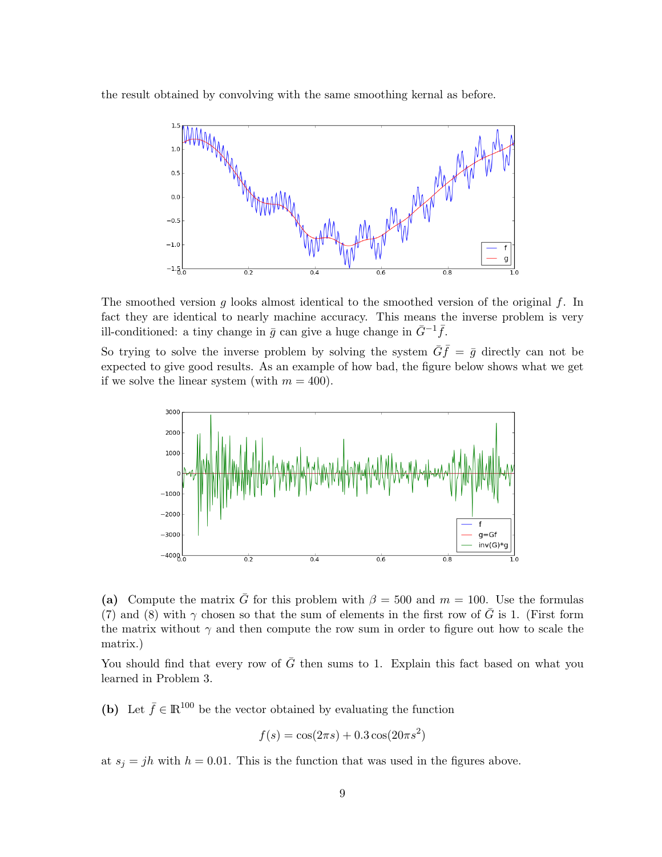the result obtained by convolving with the same smoothing kernal as before.



The smoothed version g looks almost identical to the smoothed version of the original  $f$ . In fact they are identical to nearly machine accuracy. This means the inverse problem is very ill-conditioned: a tiny change in  $\bar{g}$  can give a huge change in  $\bar{G}^{-1}\bar{f}$ .

So trying to solve the inverse problem by solving the system  $\overline{G}\overline{f} = \overline{g}$  directly can not be expected to give good results. As an example of how bad, the figure below shows what we get if we solve the linear system (with  $m = 400$ ).



(a) Compute the matrix  $\bar{G}$  for this problem with  $\beta = 500$  and  $m = 100$ . Use the formulas (7) and (8) with  $\gamma$  chosen so that the sum of elements in the first row of  $\bar{G}$  is 1. (First form the matrix without  $\gamma$  and then compute the row sum in order to figure out how to scale the matrix.)

You should find that every row of  $\bar{G}$  then sums to 1. Explain this fact based on what you learned in Problem 3.

(b) Let  $\bar{f} \in \mathbb{R}^{100}$  be the vector obtained by evaluating the function

$$
f(s) = \cos(2\pi s) + 0.3\cos(20\pi s^2)
$$

at  $s_j = jh$  with  $h = 0.01$ . This is the function that was used in the figures above.